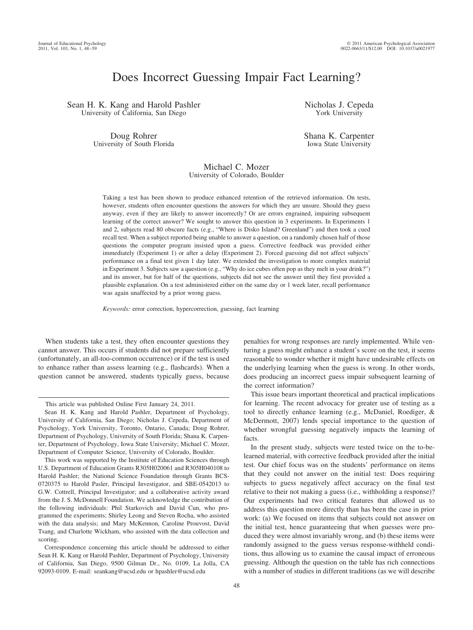# Does Incorrect Guessing Impair Fact Learning?

Sean H. K. Kang and Harold Pashler University of California, San Diego

> Doug Rohrer University of South Florida

Nicholas J. Cepeda York University

Shana K. Carpenter Iowa State University

## Michael C. Mozer University of Colorado, Boulder

Taking a test has been shown to produce enhanced retention of the retrieved information. On tests, however, students often encounter questions the answers for which they are unsure. Should they guess anyway, even if they are likely to answer incorrectly? Or are errors engrained, impairing subsequent learning of the correct answer? We sought to answer this question in 3 experiments. In Experiments 1 and 2, subjects read 80 obscure facts (e.g., "Where is Disko Island? Greenland") and then took a cued recall test. When a subject reported being unable to answer a question, on a randomly chosen half of those questions the computer program insisted upon a guess. Corrective feedback was provided either immediately (Experiment 1) or after a delay (Experiment 2). Forced guessing did not affect subjects' performance on a final test given 1 day later. We extended the investigation to more complex material in Experiment 3. Subjects saw a question (e.g., "Why do ice cubes often pop as they melt in your drink?") and its answer, but for half of the questions, subjects did not see the answer until they first provided a plausible explanation. On a test administered either on the same day or 1 week later, recall performance was again unaffected by a prior wrong guess.

*Keywords:* error correction, hypercorrection, guessing, fact learning

When students take a test, they often encounter questions they cannot answer. This occurs if students did not prepare sufficiently (unfortunately, an all-too-common occurrence) or if the test is used to enhance rather than assess learning (e.g., flashcards). When a question cannot be answered, students typically guess, because

penalties for wrong responses are rarely implemented. While venturing a guess might enhance a student's score on the test, it seems reasonable to wonder whether it might have undesirable effects on the underlying learning when the guess is wrong. In other words, does producing an incorrect guess impair subsequent learning of the correct information?

This issue bears important theoretical and practical implications for learning. The recent advocacy for greater use of testing as a tool to directly enhance learning (e.g., McDaniel, Roediger, & McDermott, 2007) lends special importance to the question of whether wrongful guessing negatively impacts the learning of facts.

In the present study, subjects were tested twice on the to-belearned material, with corrective feedback provided after the initial test. Our chief focus was on the students' performance on items that they could not answer on the initial test: Does requiring subjects to guess negatively affect accuracy on the final test relative to their not making a guess (i.e., withholding a response)? Our experiments had two critical features that allowed us to address this question more directly than has been the case in prior work: (a) We focused on items that subjects could not answer on the initial test, hence guaranteeing that when guesses were produced they were almost invariably wrong, and (b) these items were randomly assigned to the guess versus response-withheld conditions, thus allowing us to examine the causal impact of erroneous guessing. Although the question on the table has rich connections with a number of studies in different traditions (as we will describe

This article was published Online First January 24, 2011.

Sean H. K. Kang and Harold Pashler, Department of Psychology, University of California, San Diego; Nicholas J. Cepeda, Department of Psychology, York University, Toronto, Ontario, Canada; Doug Rohrer, Department of Psychology, University of South Florida; Shana K. Carpenter, Department of Psychology, Iowa State University; Michael C. Mozer, Department of Computer Science, University of Colorado, Boulder.

This work was supported by the Institute of Education Sciences through U.S. Department of Education Grants R305H020061 and R305H040108 to Harold Pashler; the National Science Foundation through Grants BCS-0720375 to Harold Pasler, Principal Investigator, and SBE-0542013 to G.W. Cottrell, Principal Investigator; and a collaborative activity award from the J. S. McDonnell Foundation. We acknowledge the contribution of the following individuals: Phil Starkovich and David Cun, who programmed the experiments; Shirley Leong and Steven Rocha, who assisted with the data analysis; and Mary McKennon, Caroline Prouvost, David Tsang, and Charlotte Wickham, who assisted with the data collection and scoring.

Correspondence concerning this article should be addressed to either Sean H. K. Kang or Harold Pashler, Department of Psychology, University of California, San Diego, 9500 Gilman Dr., No. 0109, La Jolla, CA 92093-0109. E-mail: seankang@ucsd.edu or hpashler@ucsd.edu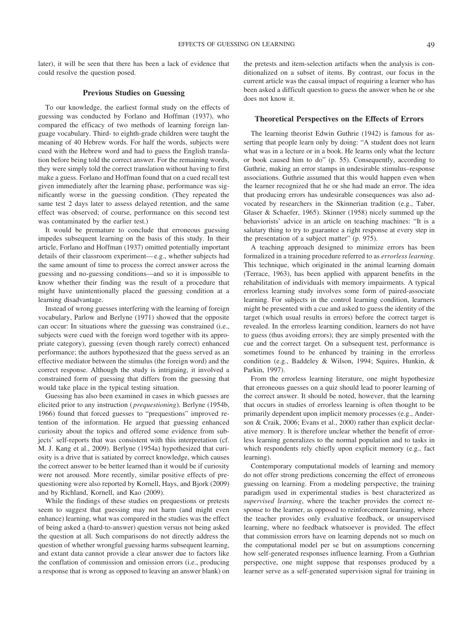later), it will be seen that there has been a lack of evidence that could resolve the question posed.

## **Previous Studies on Guessing**

To our knowledge, the earliest formal study on the effects of guessing was conducted by Forlano and Hoffman (1937), who compared the efficacy of two methods of learning foreign language vocabulary. Third- to eighth-grade children were taught the meaning of 40 Hebrew words. For half the words, subjects were cued with the Hebrew word and had to guess the English translation before being told the correct answer. For the remaining words, they were simply told the correct translation without having to first make a guess. Forlano and Hoffman found that on a cued recall test given immediately after the learning phase, performance was significantly worse in the guessing condition. (They repeated the same test 2 days later to assess delayed retention, and the same effect was observed; of course, performance on this second test was contaminated by the earlier test.)

It would be premature to conclude that erroneous guessing impedes subsequent learning on the basis of this study. In their article, Forlano and Hoffman (1937) omitted potentially important details of their classroom experiment— e.g., whether subjects had the same amount of time to process the correct answer across the guessing and no-guessing conditions—and so it is impossible to know whether their finding was the result of a procedure that might have unintentionally placed the guessing condition at a learning disadvantage.

Instead of wrong guesses interfering with the learning of foreign vocabulary, Parlow and Berlyne (1971) showed that the opposite can occur: In situations where the guessing was constrained (i.e., subjects were cued with the foreign word together with its appropriate category), guessing (even though rarely correct) enhanced performance; the authors hypothesized that the guess served as an effective mediator between the stimulus (the foreign word) and the correct response. Although the study is intriguing, it involved a constrained form of guessing that differs from the guessing that would take place in the typical testing situation.

Guessing has also been examined in cases in which guesses are elicited prior to any instruction ( *prequestioning*). Berlyne (1954b, 1966) found that forced guesses to "prequestions" improved retention of the information. He argued that guessing enhanced curiosity about the topics and offered some evidence from subjects' self-reports that was consistent with this interpretation (cf. M. J. Kang et al., 2009). Berlyne (1954a) hypothesized that curiosity is a drive that is satiated by correct knowledge, which causes the correct answer to be better learned than it would be if curiosity were not aroused. More recently, similar positive effects of prequestioning were also reported by Kornell, Hays, and Bjork (2009) and by Richland, Kornell, and Kao (2009).

While the findings of these studies on prequestions or pretests seem to suggest that guessing may not harm (and might even enhance) learning, what was compared in the studies was the effect of being asked a (hard-to-answer) question versus not being asked the question at all. Such comparisons do not directly address the question of whether wrongful guessing harms subsequent learning, and extant data cannot provide a clear answer due to factors like the conflation of commission and omission errors (i.e., producing a response that is wrong as opposed to leaving an answer blank) on the pretests and item-selection artifacts when the analysis is conditionalized on a subset of items. By contrast, our focus in the current article was the causal impact of requiring a learner who has been asked a difficult question to guess the answer when he or she does not know it.

#### **Theoretical Perspectives on the Effects of Errors**

The learning theorist Edwin Guthrie (1942) is famous for asserting that people learn only by doing: "A student does not learn what was in a lecture or in a book. He learns only what the lecture or book caused him to do" (p. 55). Consequently, according to Guthrie, making an error stamps in undesirable stimulus–response associations. Guthrie assumed that this would happen even when the learner recognized that he or she had made an error. The idea that producing errors has undesirable consequences was also advocated by researchers in the Skinnerian tradition (e.g., Taber, Glaser & Schaefer, 1965). Skinner (1958) nicely summed up the behaviorists' advice in an article on teaching machines: "It is a salutary thing to try to guarantee a right response at every step in the presentation of a subject matter" (p. 975).

A teaching approach designed to minimize errors has been formalized in a training procedure referred to as *errorless learning*. This technique, which originated in the animal learning domain (Terrace, 1963), has been applied with apparent benefits in the rehabilitation of individuals with memory impairments. A typical errorless learning study involves some form of paired-associate learning. For subjects in the control learning condition, learners might be presented with a cue and asked to guess the identity of the target (which usual results in errors) before the correct target is revealed. In the errorless learning condition, learners do not have to guess (thus avoiding errors); they are simply presented with the cue and the correct target. On a subsequent test, performance is sometimes found to be enhanced by training in the errorless condition (e.g., Baddeley & Wilson, 1994; Squires, Hunkin, & Parkin, 1997).

From the errorless learning literature, one might hypothesize that erroneous guesses on a quiz should lead to poorer learning of the correct answer. It should be noted, however, that the learning that occurs in studies of errorless learning is often thought to be primarily dependent upon implicit memory processes (e.g., Anderson & Craik, 2006; Evans et al., 2000) rather than explicit declarative memory. It is therefore unclear whether the benefit of errorless learning generalizes to the normal population and to tasks in which respondents rely chiefly upon explicit memory (e.g., fact learning).

Contemporary computational models of learning and memory do not offer strong predictions concerning the effect of erroneous guessing on learning. From a modeling perspective, the training paradigm used in experimental studies is best characterized as *supervised learning*, where the teacher provides the correct response to the learner, as opposed to reinforcement learning, where the teacher provides only evaluative feedback, or unsupervised learning, where no feedback whatsoever is provided. The effect that commission errors have on learning depends not so much on the computational model per se but on assumptions concerning how self-generated responses influence learning. From a Guthrian perspective, one might suppose that responses produced by a learner serve as a self-generated supervision signal for training in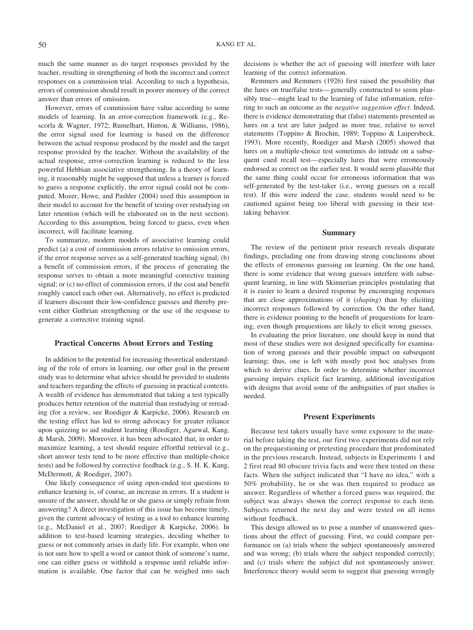much the same manner as do target responses provided by the teacher, resulting in strengthening of both the incorrect and correct responses on a commission trial. According to such a hypothesis, errors of commission should result in poorer memory of the correct answer than errors of omission.

However, errors of commission have value according to some models of learning. In an error-correction framework (e.g., Rescorla & Wagner, 1972; Rumelhart, Hinton, & Williams, 1986), the error signal used for learning is based on the difference between the actual response produced by the model and the target response provided by the teacher. Without the availability of the actual response, error-correction learning is reduced to the less powerful Hebbian associative strengthening. In a theory of learning, it reasonably might be supposed that unless a learner is forced to guess a response explicitly, the error signal could not be computed. Mozer, Howe, and Pashler (2004) used this assumption in their model to account for the benefit of testing over restudying on later retention (which will be elaborated on in the next section). According to this assumption, being forced to guess, even when incorrect, will facilitate learning.

To summarize, modern models of associative learning could predict (a) a cost of commission errors relative to omission errors, if the error response serves as a self-generated teaching signal; (b) a benefit of commission errors, if the process of generating the response serves to obtain a more meaningful corrective training signal; or (c) no effect of commission errors, if the cost and benefit roughly cancel each other out. Alternatively, no effect is predicted if learners discount their low-confidence guesses and thereby prevent either Guthrian strengthening or the use of the response to generate a corrective training signal.

#### **Practical Concerns About Errors and Testing**

In addition to the potential for increasing theoretical understanding of the role of errors in learning, our other goal in the present study was to determine what advice should be provided to students and teachers regarding the effects of guessing in practical contexts. A wealth of evidence has demonstrated that taking a test typically produces better retention of the material than restudying or rereading (for a review, see Roediger & Karpicke, 2006). Research on the testing effect has led to strong advocacy for greater reliance upon quizzing to aid student learning (Roediger, Agarwal, Kang, & Marsh, 2009). Moreover, it has been advocated that, in order to maximize learning, a test should require effortful retrieval (e.g., short answer tests tend to be more effective than multiple-choice tests) and be followed by corrective feedback (e.g., S. H. K. Kang, McDermott, & Roediger, 2007).

One likely consequence of using open-ended test questions to enhance learning is, of course, an increase in errors. If a student is unsure of the answer, should he or she guess or simply refrain from answering? A direct investigation of this issue has become timely, given the current advocacy of testing as a tool to enhance learning (e.g., McDaniel et al., 2007; Roediger & Karpicke, 2006). In addition to test-based learning strategies, deciding whether to guess or not commonly arises in daily life. For example, when one is not sure how to spell a word or cannot think of someone's name, one can either guess or withhold a response until reliable information is available. One factor that can be weighed into such decisions is whether the act of guessing will interfere with later learning of the correct information.

Remmers and Remmers (1926) first raised the possibility that the lures on true/false tests— generally constructed to seem plausibly true—might lead to the learning of false information, referring to such an outcome as the *negative suggestion effect*. Indeed, there is evidence demonstrating that (false) statements presented as lures on a test are later judged as more true, relative to novel statements (Toppino & Brochin, 1989; Toppino & Luipersbeck, 1993). More recently, Roediger and Marsh (2005) showed that lures on a multiple-choice test sometimes do intrude on a subsequent cued recall test— especially lures that were erroneously endorsed as correct on the earlier test. It would seem plausible that the same thing could occur for erroneous information that was self-generated by the test-taker (i.e., wrong guesses on a recall test). If this were indeed the case, students would need to be cautioned against being too liberal with guessing in their testtaking behavior.

#### **Summary**

The review of the pertinent prior research reveals disparate findings, precluding one from drawing strong conclusions about the effects of erroneous guessing on learning. On the one hand, there is some evidence that wrong guesses interfere with subsequent learning, in line with Skinnerian principles postulating that it is easier to learn a desired response by encouraging responses that are close approximations of it (*shaping*) than by eliciting incorrect responses followed by correction. On the other hand, there is evidence pointing to the benefit of prequestions for learning, even though prequestions are likely to elicit wrong guesses.

In evaluating the prior literature, one should keep in mind that most of these studies were not designed specifically for examination of wrong guesses and their possible impact on subsequent learning; thus, one is left with mostly post hoc analyses from which to derive clues. In order to determine whether incorrect guessing impairs explicit fact learning, additional investigation with designs that avoid some of the ambiguities of past studies is needed.

## **Present Experiments**

Because test takers usually have some exposure to the material before taking the test, our first two experiments did not rely on the prequestioning or pretesting procedure that predominated in the previous research. Instead, subjects in Experiments 1 and 2 first read 80 obscure trivia facts and were then tested on these facts. When the subject indicated that "I have no idea," with a 50% probability, he or she was then required to produce an answer. Regardless of whether a forced guess was required, the subject was always shown the correct response to each item. Subjects returned the next day and were tested on all items without feedback.

This design allowed us to pose a number of unanswered questions about the effect of guessing. First, we could compare performance on (a) trials where the subject spontaneously answered and was wrong; (b) trials where the subject responded correctly; and (c) trials where the subject did not spontaneously answer. Interference theory would seem to suggest that guessing wrongly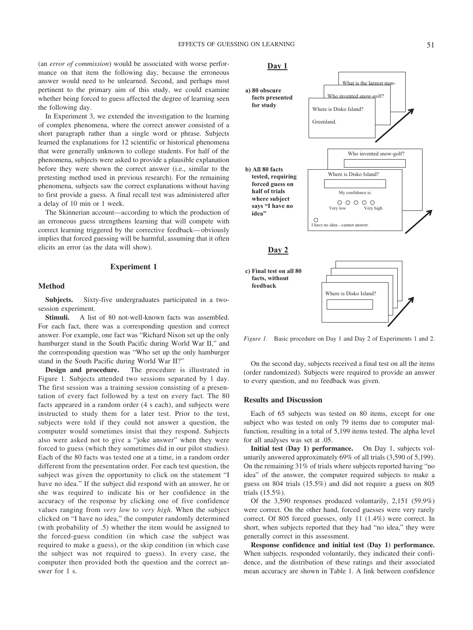(an *error of commission*) would be associated with worse performance on that item the following day, because the erroneous answer would need to be unlearned. Second, and perhaps most pertinent to the primary aim of this study, we could examine whether being forced to guess affected the degree of learning seen the following day.

In Experiment 3, we extended the investigation to the learning of complex phenomena, where the correct answer consisted of a short paragraph rather than a single word or phrase. Subjects learned the explanations for 12 scientific or historical phenomena that were generally unknown to college students. For half of the phenomena, subjects were asked to provide a plausible explanation before they were shown the correct answer (i.e., similar to the pretesting method used in previous research). For the remaining phenomena, subjects saw the correct explanations without having to first provide a guess. A final recall test was administered after a delay of 10 min or 1 week.

The Skinnerian account—according to which the production of an erroneous guess strengthens learning that will compete with correct learning triggered by the corrective feedback— obviously implies that forced guessing will be harmful, assuming that it often elicits an error (as the data will show).

#### **Experiment 1**

#### **Method**

**Subjects.** Sixty-five undergraduates participated in a twosession experiment.

**Stimuli.** A list of 80 not-well-known facts was assembled. For each fact, there was a corresponding question and correct answer. For example, one fact was "Richard Nixon set up the only hamburger stand in the South Pacific during World War II," and the corresponding question was "Who set up the only hamburger stand in the South Pacific during World War II?"

**Design and procedure.** The procedure is illustrated in Figure 1. Subjects attended two sessions separated by 1 day. The first session was a training session consisting of a presentation of every fact followed by a test on every fact. The 80 facts appeared in a random order (4 s each), and subjects were instructed to study them for a later test. Prior to the test, subjects were told if they could not answer a question, the computer would sometimes insist that they respond. Subjects also were asked not to give a "joke answer" when they were forced to guess (which they sometimes did in our pilot studies). Each of the 80 facts was tested one at a time, in a random order different from the presentation order. For each test question, the subject was given the opportunity to click on the statement "I have no idea." If the subject did respond with an answer, he or she was required to indicate his or her confidence in the accuracy of the response by clicking one of five confidence values ranging from *very low* to *very high*. When the subject clicked on "I have no idea," the computer randomly determined (with probability of .5) whether the item would be assigned to the forced-guess condition (in which case the subject was required to make a guess), or the skip condition (in which case the subject was not required to guess). In every case, the computer then provided both the question and the correct answer for 1 s.



*Figure 1.* Basic procedure on Day 1 and Day 2 of Experiments 1 and 2.

On the second day, subjects received a final test on all the items (order randomized). Subjects were required to provide an answer to every question, and no feedback was given.

#### **Results and Discussion**

Each of 65 subjects was tested on 80 items, except for one subject who was tested on only 79 items due to computer malfunction, resulting in a total of 5,199 items tested. The alpha level for all analyses was set at .05.

**Initial test (Day 1) performance.** On Day 1, subjects voluntarily answered approximately 69% of all trials (3,590 of 5,199). On the remaining 31% of trials where subjects reported having "no idea" of the answer, the computer required subjects to make a guess on 804 trials (15.5%) and did not require a guess on 805 trials (15.5%).

Of the 3,590 responses produced voluntarily, 2,151 (59.9%) were correct. On the other hand, forced guesses were very rarely correct. Of 805 forced guesses, only 11 (1.4%) were correct. In short, when subjects reported that they had "no idea," they were generally correct in this assessment.

**Response confidence and initial test (Day 1) performance.** When subjects. responded voluntarily, they indicated their confidence, and the distribution of these ratings and their associated mean accuracy are shown in Table 1. A link between confidence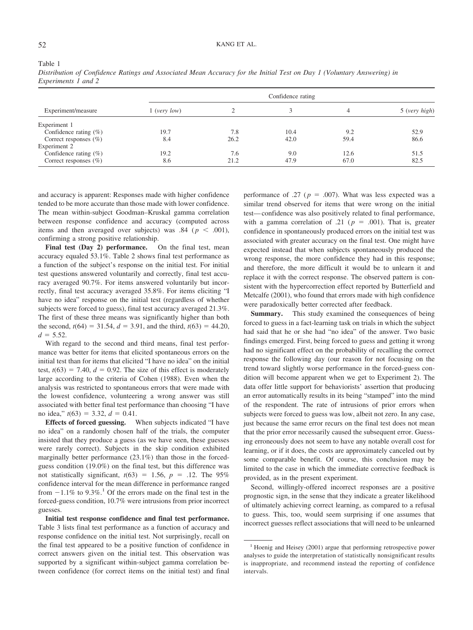Table 1

| Experiment/measure        |                | Confidence rating |      |      |               |  |
|---------------------------|----------------|-------------------|------|------|---------------|--|
|                           | $1$ (very low) |                   |      | 4    | 5 (very high) |  |
| Experiment 1              |                |                   |      |      |               |  |
| Confidence rating $(\%)$  | 19.7           | 7.8               | 10.4 | 9.2  | 52.9          |  |
| Correct responses $(\% )$ | 8.4            | 26.2              | 42.0 | 59.4 | 86.6          |  |
| Experiment 2              |                |                   |      |      |               |  |
| Confidence rating $(\% )$ | 19.2           | 7.6               | 9.0  | 12.6 | 51.5          |  |
| Correct responses $(\% )$ | 8.6            | 21.2              | 47.9 | 67.0 | 82.5          |  |

*Distribution of Confidence Ratings and Associated Mean Accuracy for the Initial Test on Day 1 (Voluntary Answering) in Experiments 1 and 2*

and accuracy is apparent: Responses made with higher confidence tended to be more accurate than those made with lower confidence. The mean within-subject Goodman–Kruskal gamma correlation between response confidence and accuracy (computed across items and then averaged over subjects) was  $.84$  ( $p < .001$ ), confirming a strong positive relationship.

Final test (Day 2) performance. On the final test, mean accuracy equaled 53.1%. Table 2 shows final test performance as a function of the subject's response on the initial test. For initial test questions answered voluntarily and correctly, final test accuracy averaged 90.7%. For items answered voluntarily but incorrectly, final test accuracy averaged 35.8%. For items eliciting "I have no idea" response on the initial test (regardless of whether subjects were forced to guess), final test accuracy averaged 21.3%. The first of these three means was significantly higher than both the second,  $t(64) = 31.54$ ,  $d = 3.91$ , and the third,  $t(63) = 44.20$ ,  $d = 5.52$ .

With regard to the second and third means, final test performance was better for items that elicited spontaneous errors on the initial test than for items that elicited "I have no idea" on the initial test,  $t(63) = 7.40$ ,  $d = 0.92$ . The size of this effect is moderately large according to the criteria of Cohen (1988). Even when the analysis was restricted to spontaneous errors that were made with the lowest confidence, volunteering a wrong answer was still associated with better final test performance than choosing "I have no idea,"  $t(63) = 3.32$ ,  $d = 0.41$ .

**Effects of forced guessing.** When subjects indicated "I have no idea" on a randomly chosen half of the trials, the computer insisted that they produce a guess (as we have seen, these guesses were rarely correct). Subjects in the skip condition exhibited marginally better performance (23.1%) than those in the forcedguess condition (19.0%) on the final test, but this difference was not statistically significant,  $t(63) = 1.56$ ,  $p = .12$ . The 95% confidence interval for the mean difference in performance ranged from  $-1.1\%$  to 9.3%.<sup>1</sup> Of the errors made on the final test in the forced-guess condition, 10.7% were intrusions from prior incorrect guesses.

**Initial test response confidence and final test performance.** Table 3 lists final test performance as a function of accuracy and response confidence on the initial test. Not surprisingly, recall on the final test appeared to be a positive function of confidence in correct answers given on the initial test. This observation was supported by a significant within-subject gamma correlation between confidence (for correct items on the initial test) and final

performance of  $.27$  ( $p = .007$ ). What was less expected was a similar trend observed for items that were wrong on the initial test— confidence was also positively related to final performance, with a gamma correlation of .21 ( $p = .001$ ). That is, greater confidence in spontaneously produced errors on the initial test was associated with greater accuracy on the final test. One might have expected instead that when subjects spontaneously produced the wrong response, the more confidence they had in this response; and therefore, the more difficult it would be to unlearn it and replace it with the correct response. The observed pattern is consistent with the hypercorrection effect reported by Butterfield and Metcalfe (2001), who found that errors made with high confidence were paradoxically better corrected after feedback.

**Summary.** This study examined the consequences of being forced to guess in a fact-learning task on trials in which the subject had said that he or she had "no idea" of the answer. Two basic findings emerged. First, being forced to guess and getting it wrong had no significant effect on the probability of recalling the correct response the following day (our reason for not focusing on the trend toward slightly worse performance in the forced-guess condition will become apparent when we get to Experiment 2). The data offer little support for behaviorists' assertion that producing an error automatically results in its being "stamped" into the mind of the respondent. The rate of intrusions of prior errors when subjects were forced to guess was low, albeit not zero. In any case, just because the same error recurs on the final test does not mean that the prior error necessarily caused the subsequent error. Guessing erroneously does not seem to have any notable overall cost for learning, or if it does, the costs are approximately canceled out by some comparable benefit. Of course, this conclusion may be limited to the case in which the immediate corrective feedback is provided, as in the present experiment.

Second, willingly-offered incorrect responses are a positive prognostic sign, in the sense that they indicate a greater likelihood of ultimately achieving correct learning, as compared to a refusal to guess. This, too, would seem surprising if one assumes that incorrect guesses reflect associations that will need to be unlearned

<sup>&</sup>lt;sup>1</sup> Hoenig and Heisey (2001) argue that performing retrospective power analyses to guide the interpretation of statistically nonsignificant results is inappropriate, and recommend instead the reporting of confidence intervals.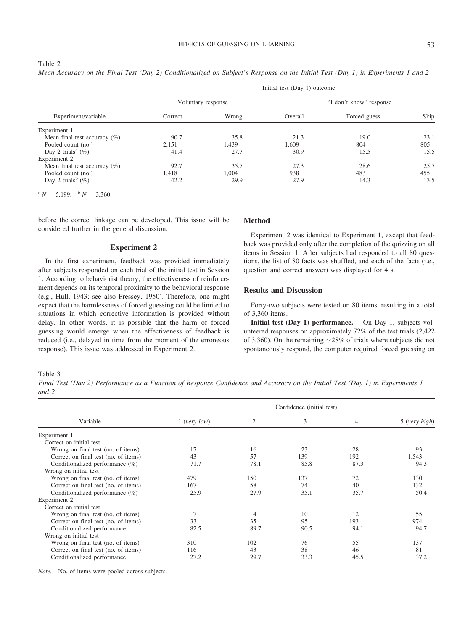| Experiment/variable              | Initial test (Day 1) outcome |       |                         |              |      |  |
|----------------------------------|------------------------------|-------|-------------------------|--------------|------|--|
|                                  | Voluntary response           |       | "I don't know" response |              |      |  |
|                                  | Correct                      | Wrong | Overall                 | Forced guess | Skip |  |
| Experiment 1                     |                              |       |                         |              |      |  |
| Mean final test accuracy $(\%)$  | 90.7                         | 35.8  | 21.3                    | 19.0         | 23.1 |  |
| Pooled count (no.)               | 2,151                        | 1,439 | 1,609                   | 804          | 805  |  |
| Day 2 trials <sup>a</sup> $(\%)$ | 41.4                         | 27.7  | 30.9                    | 15.5         | 15.5 |  |
| Experiment 2                     |                              |       |                         |              |      |  |
| Mean final test accuracy $(\%)$  | 92.7                         | 35.7  | 27.3                    | 28.6         | 25.7 |  |
| Pooled count (no.)               | 1,418                        | 1,004 | 938                     | 483          | 455  |  |
| Day 2 trials <sup>b</sup> $(\%)$ | 42.2                         | 29.9  | 27.9                    | 14.3         | 13.5 |  |

Table 2 *Mean Accuracy on the Final Test (Day 2) Conditionalized on Subject's Response on the Initial Test (Day 1) in Experiments 1 and 2*

 $^{\text{a}} N = 5,199.$   $^{\text{b}} N = 3,360.$ 

before the correct linkage can be developed. This issue will be considered further in the general discussion.

#### **Experiment 2**

In the first experiment, feedback was provided immediately after subjects responded on each trial of the initial test in Session 1. According to behaviorist theory, the effectiveness of reinforcement depends on its temporal proximity to the behavioral response (e.g., Hull, 1943; see also Pressey, 1950). Therefore, one might expect that the harmlessness of forced guessing could be limited to situations in which corrective information is provided without delay. In other words, it is possible that the harm of forced guessing would emerge when the effectiveness of feedback is reduced (i.e., delayed in time from the moment of the erroneous response). This issue was addressed in Experiment 2.

#### **Method**

Experiment 2 was identical to Experiment 1, except that feedback was provided only after the completion of the quizzing on all items in Session 1. After subjects had responded to all 80 questions, the list of 80 facts was shuffled, and each of the facts (i.e., question and correct answer) was displayed for 4 s.

## **Results and Discussion**

Forty-two subjects were tested on 80 items, resulting in a total of 3,360 items.

**Initial test (Day 1) performance.** On Day 1, subjects volunteered responses on approximately 72% of the test trials (2,422 of 3,360). On the remaining  $\sim$  28% of trials where subjects did not spontaneously respond, the computer required forced guessing on

## Table 3

*Final Test (Day 2) Performance as a Function of Response Confidence and Accuracy on the Initial Test (Day 1) in Experiments 1 and 2*

|                                      | Confidence (initial test) |                |      |      |               |  |
|--------------------------------------|---------------------------|----------------|------|------|---------------|--|
| Variable                             | $1$ (very low)            | $\overline{2}$ | 3    | 4    | 5 (very high) |  |
| Experiment 1                         |                           |                |      |      |               |  |
| Correct on initial test              |                           |                |      |      |               |  |
| Wrong on final test (no. of items)   | 17                        | 16             | 23   | 28   | 93            |  |
| Correct on final test (no. of items) | 43                        | 57             | 139  | 192  | 1,543         |  |
| Conditionalized performance $(\%)$   | 71.7                      | 78.1           | 85.8 | 87.3 | 94.3          |  |
| Wrong on initial test                |                           |                |      |      |               |  |
| Wrong on final test (no. of items)   | 479                       | 150            | 137  | 72   | 130           |  |
| Correct on final test (no. of items) | 167                       | 58             | 74   | 40   | 132           |  |
| Conditionalized performance $(\%)$   | 25.9                      | 27.9           | 35.1 | 35.7 | 50.4          |  |
| Experiment 2                         |                           |                |      |      |               |  |
| Correct on initial test              |                           |                |      |      |               |  |
| Wrong on final test (no. of items)   | 7                         | 4              | 10   | 12   | 55            |  |
| Correct on final test (no. of items) | 33                        | 35             | 95   | 193  | 974           |  |
| Conditionalized performance          | 82.5                      | 89.7           | 90.5 | 94.1 | 94.7          |  |
| Wrong on initial test                |                           |                |      |      |               |  |
| Wrong on final test (no. of items)   | 310                       | 102            | 76   | 55   | 137           |  |
| Correct on final test (no. of items) | 116                       | 43             | 38   | 46   | 81            |  |
| Conditionalized performance          | 27.2                      | 29.7           | 33.3 | 45.5 | 37.2          |  |

*Note.* No. of items were pooled across subjects.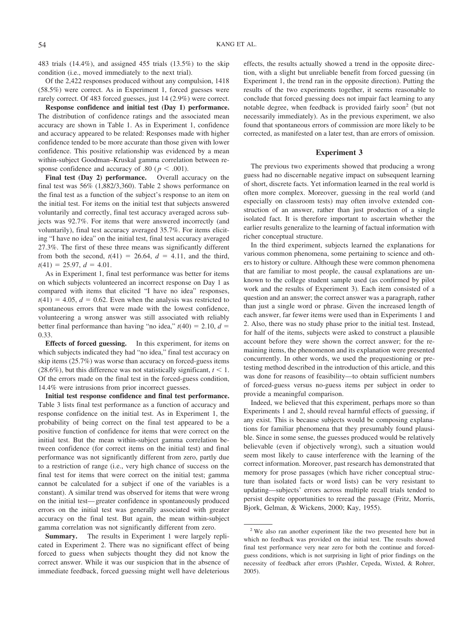483 trials (14.4%), and assigned 455 trials (13.5%) to the skip condition (i.e., moved immediately to the next trial).

Of the 2,422 responses produced without any compulsion, 1418 (58.5%) were correct. As in Experiment 1, forced guesses were rarely correct. Of 483 forced guesses, just 14 (2.9%) were correct.

**Response confidence and initial test (Day 1) performance.** The distribution of confidence ratings and the associated mean accuracy are shown in Table 1. As in Experiment 1, confidence and accuracy appeared to be related: Responses made with higher confidence tended to be more accurate than those given with lower confidence. This positive relationship was evidenced by a mean within-subject Goodman–Kruskal gamma correlation between response confidence and accuracy of .80 ( $p < .001$ ).

**Final test (Day 2) performance.** Overall accuracy on the final test was 56% (1,882/3,360). Table 2 shows performance on the final test as a function of the subject's response to an item on the initial test. For items on the initial test that subjects answered voluntarily and correctly, final test accuracy averaged across subjects was 92.7%. For items that were answered incorrectly (and voluntarily), final test accuracy averaged 35.7%. For items eliciting "I have no idea" on the initial test, final test accuracy averaged 27.3%. The first of these three means was significantly different from both the second,  $t(41) = 26.64$ ,  $d = 4.11$ , and the third,  $t(41) = 25.97, d = 4.01.$ 

As in Experiment 1, final test performance was better for items on which subjects volunteered an incorrect response on Day 1 as compared with items that elicited "I have no idea" responses,  $t(41) = 4.05$ ,  $d = 0.62$ . Even when the analysis was restricted to spontaneous errors that were made with the lowest confidence, volunteering a wrong answer was still associated with reliably better final performance than having "no idea,"  $t(40) = 2.10$ ,  $d =$ 0.33.

**Effects of forced guessing.** In this experiment, for items on which subjects indicated they had "no idea," final test accuracy on skip items (25.7%) was worse than accuracy on forced-guess items (28.6%), but this difference was not statistically significant,  $t < 1$ . Of the errors made on the final test in the forced-guess condition, 14.4% were intrusions from prior incorrect guesses.

**Initial test response confidence and final test performance.** Table 3 lists final test performance as a function of accuracy and response confidence on the initial test. As in Experiment 1, the probability of being correct on the final test appeared to be a positive function of confidence for items that were correct on the initial test. But the mean within-subject gamma correlation between confidence (for correct items on the initial test) and final performance was not significantly different from zero, partly due to a restriction of range (i.e., very high chance of success on the final test for items that were correct on the initial test; gamma cannot be calculated for a subject if one of the variables is a constant). A similar trend was observed for items that were wrong on the initial test— greater confidence in spontaneously produced errors on the initial test was generally associated with greater accuracy on the final test. But again, the mean within-subject gamma correlation was not significantly different from zero.

**Summary.** The results in Experiment 1 were largely replicated in Experiment 2. There was no significant effect of being forced to guess when subjects thought they did not know the correct answer. While it was our suspicion that in the absence of immediate feedback, forced guessing might well have deleterious effects, the results actually showed a trend in the opposite direction, with a slight but unreliable benefit from forced guessing (in Experiment 1, the trend ran in the opposite direction). Putting the results of the two experiments together, it seems reasonable to conclude that forced guessing does not impair fact learning to any notable degree, when feedback is provided fairly soon<sup>2</sup> (but not necessarily immediately). As in the previous experiment, we also found that spontaneous errors of commission are more likely to be corrected, as manifested on a later test, than are errors of omission.

## **Experiment 3**

The previous two experiments showed that producing a wrong guess had no discernable negative impact on subsequent learning of short, discrete facts. Yet information learned in the real world is often more complex. Moreover, guessing in the real world (and especially on classroom tests) may often involve extended construction of an answer, rather than just production of a single isolated fact. It is therefore important to ascertain whether the earlier results generalize to the learning of factual information with richer conceptual structure.

In the third experiment, subjects learned the explanations for various common phenomena, some pertaining to science and others to history or culture. Although these were common phenomena that are familiar to most people, the causal explanations are unknown to the college student sample used (as confirmed by pilot work and the results of Experiment 3). Each item consisted of a question and an answer; the correct answer was a paragraph, rather than just a single word or phrase. Given the increased length of each answer, far fewer items were used than in Experiments 1 and 2. Also, there was no study phase prior to the initial test. Instead, for half of the items, subjects were asked to construct a plausible account before they were shown the correct answer; for the remaining items, the phenomenon and its explanation were presented concurrently. In other words, we used the prequestioning or pretesting method described in the introduction of this article, and this was done for reasons of feasibility—to obtain sufficient numbers of forced-guess versus no-guess items per subject in order to provide a meaningful comparison.

Indeed, we believed that this experiment, perhaps more so than Experiments 1 and 2, should reveal harmful effects of guessing, if any exist. This is because subjects would be composing explanations for familiar phenomena that they presumably found plausible. Since in some sense, the guesses produced would be relatively believable (even if objectively wrong), such a situation would seem most likely to cause interference with the learning of the correct information. Moreover, past research has demonstrated that memory for prose passages (which have richer conceptual structure than isolated facts or word lists) can be very resistant to updating—subjects' errors across multiple recall trials tended to persist despite opportunities to reread the passage (Fritz, Morris, Bjork, Gelman, & Wickens, 2000; Kay, 1955).

<sup>2</sup> We also ran another experiment like the two presented here but in which no feedback was provided on the initial test. The results showed final test performance very near zero for both the continue and forcedguess conditions, which is not surprising in light of prior findings on the necessity of feedback after errors (Pashler, Cepeda, Wixted, & Rohrer, 2005).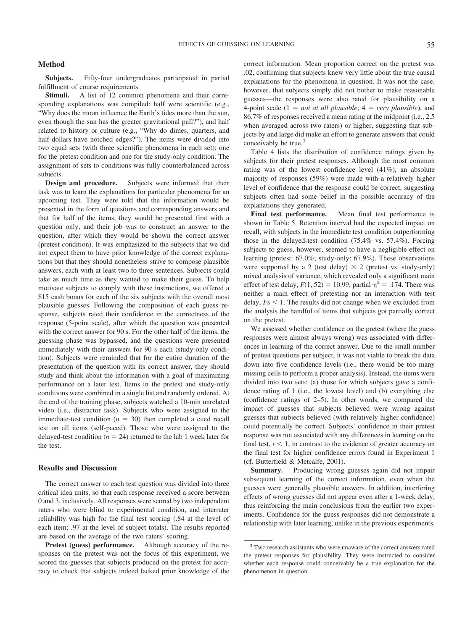## **Method**

**Subjects.** Fifty-four undergraduates participated in partial fulfillment of course requirements.

Stimuli. A list of 12 common phenomena and their corresponding explanations was compiled: half were scientific (e.g., "Why does the moon influence the Earth's tides more than the sun, even though the sun has the greater gravitational pull?"), and half related to history or culture (e.g., "Why do dimes, quarters, and half-dollars have notched edges?"). The items were divided into two equal sets (with three scientific phenomena in each set); one for the pretest condition and one for the study-only condition. The assignment of sets to conditions was fully counterbalanced across subjects.

**Design and procedure.** Subjects were informed that their task was to learn the explanations for particular phenomena for an upcoming test. They were told that the information would be presented in the form of questions and corresponding answers and that for half of the items, they would be presented first with a question only, and their job was to construct an answer to the question, after which they would be shown the correct answer (pretest condition). It was emphasized to the subjects that we did not expect them to have prior knowledge of the correct explanations but that they should nonetheless strive to compose plausible answers, each with at least two to three sentences. Subjects could take as much time as they wanted to make their guess. To help motivate subjects to comply with these instructions, we offered a \$15 cash bonus for each of the six subjects with the overall most plausible guesses. Following the composition of each guess response, subjects rated their confidence in the correctness of the response (5-point scale), after which the question was presented with the correct answer for 90 s. For the other half of the items, the guessing phase was bypassed, and the questions were presented immediately with their answers for 90 s each (study-only condition). Subjects were reminded that for the entire duration of the presentation of the question with its correct answer, they should study and think about the information with a goal of maximizing performance on a later test. Items in the pretest and study-only conditions were combined in a single list and randomly ordered. At the end of the training phase, subjects watched a 10-min unrelated video (i.e., distractor task). Subjects who were assigned to the immediate-test condition  $(n = 30)$  then completed a cued recall test on all items (self-paced). Those who were assigned to the delayed-test condition ( $n = 24$ ) returned to the lab 1 week later for the test.

## **Results and Discussion**

The correct answer to each test question was divided into three critical idea units, so that each response received a score between 0 and 3, inclusively. All responses were scored by two independent raters who were blind to experimental condition, and interrater reliability was high for the final test scoring (.84 at the level of each item; .97 at the level of subject totals). The results reported are based on the average of the two raters' scoring.

**Pretest (guess) performance.** Although accuracy of the responses on the pretest was not the focus of this experiment, we scored the guesses that subjects produced on the pretest for accuracy to check that subjects indeed lacked prior knowledge of the correct information. Mean proportion correct on the pretest was .02, confirming that subjects knew very little about the true causal explanations for the phenomena in question. It was not the case, however, that subjects simply did not bother to make reasonable guesses—the responses were also rated for plausibility on a 4-point scale  $(1 = not at all plausible; 4 = very plausible)$ , and 86.7% of responses received a mean rating at the midpoint (i.e., 2.5 when averaged across two raters) or higher, suggesting that subjects by and large did make an effort to generate answers that could conceivably be true.<sup>3</sup>

Table 4 lists the distribution of confidence ratings given by subjects for their pretest responses. Although the most common rating was of the lowest confidence level (41%), an absolute majority of responses (59%) were made with a relatively higher level of confidence that the response could be correct, suggesting subjects often had some belief in the possible accuracy of the explanations they generated.

**Final test performance.** Mean final test performance is shown in Table 5. Retention interval had the expected impact on recall, with subjects in the immediate test condition outperforming those in the delayed-test condition (75.4% vs. 57.4%). Forcing subjects to guess, however, seemed to have a negligible effect on learning (pretest: 67.0%; study-only: 67.9%). These observations were supported by a 2 (test delay)  $\times$  2 (pretest vs. study-only) mixed analysis of variance, which revealed only a significant main effect of test delay,  $F(1, 52) = 10.99$ , partial  $\eta^2 = .174$ . There was neither a main effect of pretesting nor an interaction with test delay,  $F_s < 1$ . The results did not change when we excluded from the analysis the handful of items that subjects got partially correct on the pretest.

We assessed whether confidence on the pretest (where the guess responses were almost always wrong) was associated with differences in learning of the correct answer. Due to the small number of pretest questions per subject, it was not viable to break the data down into five confidence levels (i.e., there would be too many missing cells to perform a proper analysis). Instead, the items were divided into two sets: (a) those for which subjects gave a confidence rating of 1 (i.e., the lowest level) and (b) everything else (confidence ratings of 2–5). In other words, we compared the impact of guesses that subjects believed were wrong against guesses that subjects believed (with relatively higher confidence) could potentially be correct. Subjects' confidence in their pretest response was not associated with any differences in learning on the final test,  $t < 1$ , in contrast to the evidence of greater accuracy on the final test for higher confidence errors found in Experiment 1 (cf. Butterfield & Metcalfe, 2001).

**Summary.** Producing wrong guesses again did not impair subsequent learning of the correct information, even when the guesses were generally plausible answers. In addition, interfering effects of wrong guesses did not appear even after a 1-week delay, thus reinforcing the main conclusions from the earlier two experiments. Confidence for the guess responses did not demonstrate a relationship with later learning, unlike in the previous experiments,

<sup>&</sup>lt;sup>3</sup> Two research assistants who were unaware of the correct answers rated the pretest responses for plausibility. They were instructed to consider whether each response could conceivably be a true explanation for the phenomenon in question.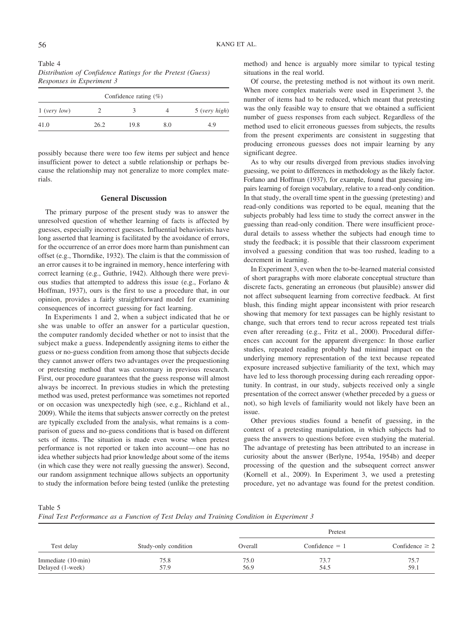Table 4 *Distribution of Confidence Ratings for the Pretest (Guess) Responses in Experiment 3*

| Confidence rating $(\% )$ |      |      |     |               |  |
|---------------------------|------|------|-----|---------------|--|
| $1$ (very low)            |      |      |     | 5 (very high) |  |
| 41.0                      | 26.2 | 19.8 | 8.0 | 4.9           |  |

possibly because there were too few items per subject and hence insufficient power to detect a subtle relationship or perhaps because the relationship may not generalize to more complex materials.

### **General Discussion**

The primary purpose of the present study was to answer the unresolved question of whether learning of facts is affected by guesses, especially incorrect guesses. Influential behaviorists have long asserted that learning is facilitated by the avoidance of errors, for the occurrence of an error does more harm than punishment can offset (e.g., Thorndike, 1932). The claim is that the commission of an error causes it to be ingrained in memory, hence interfering with correct learning (e.g., Guthrie, 1942). Although there were previous studies that attempted to address this issue (e.g., Forlano & Hoffman, 1937), ours is the first to use a procedure that, in our opinion, provides a fairly straightforward model for examining consequences of incorrect guessing for fact learning.

In Experiments 1 and 2, when a subject indicated that he or she was unable to offer an answer for a particular question, the computer randomly decided whether or not to insist that the subject make a guess. Independently assigning items to either the guess or no-guess condition from among those that subjects decide they cannot answer offers two advantages over the prequestioning or pretesting method that was customary in previous research. First, our procedure guarantees that the guess response will almost always be incorrect. In previous studies in which the pretesting method was used, pretest performance was sometimes not reported or on occasion was unexpectedly high (see, e.g., Richland et al., 2009). While the items that subjects answer correctly on the pretest are typically excluded from the analysis, what remains is a comparison of guess and no-guess conditions that is based on different sets of items. The situation is made even worse when pretest performance is not reported or taken into account— one has no idea whether subjects had prior knowledge about some of the items (in which case they were not really guessing the answer). Second, our random assignment technique allows subjects an opportunity to study the information before being tested (unlike the pretesting

method) and hence is arguably more similar to typical testing situations in the real world.

Of course, the pretesting method is not without its own merit. When more complex materials were used in Experiment 3, the number of items had to be reduced, which meant that pretesting was the only feasible way to ensure that we obtained a sufficient number of guess responses from each subject. Regardless of the method used to elicit erroneous guesses from subjects, the results from the present experiments are consistent in suggesting that producing erroneous guesses does not impair learning by any significant degree.

As to why our results diverged from previous studies involving guessing, we point to differences in methodology as the likely factor. Forlano and Hoffman (1937), for example, found that guessing impairs learning of foreign vocabulary, relative to a read-only condition. In that study, the overall time spent in the guessing (pretesting) and read-only conditions was reported to be equal, meaning that the subjects probably had less time to study the correct answer in the guessing than read-only condition. There were insufficient procedural details to assess whether the subjects had enough time to study the feedback; it is possible that their classroom experiment involved a guessing condition that was too rushed, leading to a decrement in learning.

In Experiment 3, even when the to-be-learned material consisted of short paragraphs with more elaborate conceptual structure than discrete facts, generating an erroneous (but plausible) answer did not affect subsequent learning from corrective feedback. At first blush, this finding might appear inconsistent with prior research showing that memory for text passages can be highly resistant to change, such that errors tend to recur across repeated test trials even after rereading (e.g., Fritz et al., 2000). Procedural differences can account for the apparent divergence: In those earlier studies, repeated reading probably had minimal impact on the underlying memory representation of the text because repeated exposure increased subjective familiarity of the text, which may have led to less thorough processing during each rereading opportunity. In contrast, in our study, subjects received only a single presentation of the correct answer (whether preceded by a guess or not), so high levels of familiarity would not likely have been an issue.

Other previous studies found a benefit of guessing, in the context of a pretesting manipulation, in which subjects had to guess the answers to questions before even studying the material. The advantage of pretesting has been attributed to an increase in curiosity about the answer (Berlyne, 1954a, 1954b) and deeper processing of the question and the subsequent correct answer (Kornell et al., 2009). In Experiment 3, we used a pretesting procedure, yet no advantage was found for the pretest condition.

Table 5

*Final Test Performance as a Function of Test Delay and Training Condition in Experiment 3*

| Test delay                             |                      | Pretest      |                  |                     |  |
|----------------------------------------|----------------------|--------------|------------------|---------------------|--|
|                                        | Study-only condition | Overall      | Confidence $= 1$ | Confidence $\geq 2$ |  |
| Immediate (10-min)<br>Delayed (1-week) | 75.8<br>57.9         | 75.0<br>56.9 | 73.7<br>54.5     | 75.7<br>59.1        |  |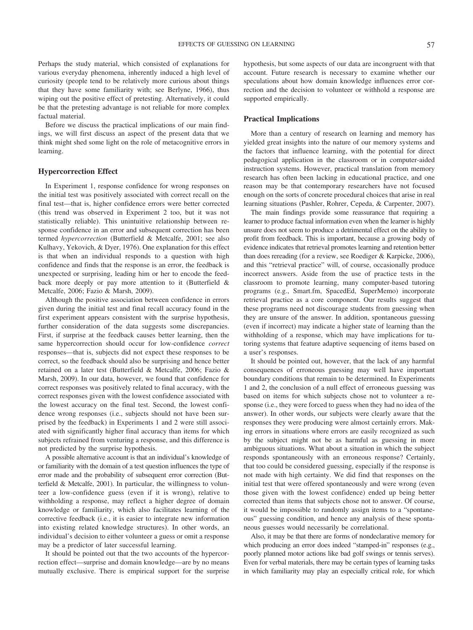Perhaps the study material, which consisted of explanations for various everyday phenomena, inherently induced a high level of curiosity (people tend to be relatively more curious about things that they have some familiarity with; see Berlyne, 1966), thus wiping out the positive effect of pretesting. Alternatively, it could be that the pretesting advantage is not reliable for more complex factual material.

Before we discuss the practical implications of our main findings, we will first discuss an aspect of the present data that we think might shed some light on the role of metacognitive errors in learning.

#### **Hypercorrection Effect**

In Experiment 1, response confidence for wrong responses on the initial test was positively associated with correct recall on the final test—that is, higher confidence errors were better corrected (this trend was observed in Experiment 2 too, but it was not statistically reliable). This unintuitive relationship between response confidence in an error and subsequent correction has been termed *hypercorrection* (Butterfield & Metcalfe, 2001; see also Kulhavy, Yekovich, & Dyer, 1976). One explanation for this effect is that when an individual responds to a question with high confidence and finds that the response is an error, the feedback is unexpected or surprising, leading him or her to encode the feedback more deeply or pay more attention to it (Butterfield & Metcalfe, 2006; Fazio & Marsh, 2009).

Although the positive association between confidence in errors given during the initial test and final recall accuracy found in the first experiment appears consistent with the surprise hypothesis, further consideration of the data suggests some discrepancies. First, if surprise at the feedback causes better learning, then the same hypercorrection should occur for low-confidence *correct* responses—that is, subjects did not expect these responses to be correct, so the feedback should also be surprising and hence better retained on a later test (Butterfield & Metcalfe, 2006; Fazio & Marsh, 2009). In our data, however, we found that confidence for correct responses was positively related to final accuracy, with the correct responses given with the lowest confidence associated with the lowest accuracy on the final test. Second, the lowest confidence wrong responses (i.e., subjects should not have been surprised by the feedback) in Experiments 1 and 2 were still associated with significantly higher final accuracy than items for which subjects refrained from venturing a response, and this difference is not predicted by the surprise hypothesis.

A possible alternative account is that an individual's knowledge of or familiarity with the domain of a test question influences the type of error made and the probability of subsequent error correction (Butterfield & Metcalfe, 2001). In particular, the willingness to volunteer a low-confidence guess (even if it is wrong), relative to withholding a response, may reflect a higher degree of domain knowledge or familiarity, which also facilitates learning of the corrective feedback (i.e., it is easier to integrate new information into existing related knowledge structures). In other words, an individual's decision to either volunteer a guess or omit a response may be a predictor of later successful learning.

It should be pointed out that the two accounts of the hypercorrection effect—surprise and domain knowledge—are by no means mutually exclusive. There is empirical support for the surprise hypothesis, but some aspects of our data are incongruent with that account. Future research is necessary to examine whether our speculations about how domain knowledge influences error correction and the decision to volunteer or withhold a response are supported empirically.

#### **Practical Implications**

More than a century of research on learning and memory has yielded great insights into the nature of our memory systems and the factors that influence learning, with the potential for direct pedagogical application in the classroom or in computer-aided instruction systems. However, practical translation from memory research has often been lacking in educational practice, and one reason may be that contemporary researchers have not focused enough on the sorts of concrete procedural choices that arise in real learning situations (Pashler, Rohrer, Cepeda, & Carpenter, 2007).

The main findings provide some reassurance that requiring a learner to produce factual information even when the learner is highly unsure does not seem to produce a detrimental effect on the ability to profit from feedback. This is important, because a growing body of evidence indicates that retrieval promotes learning and retention better than does rereading (for a review, see Roediger & Karpicke, 2006), and this "retrieval practice" will, of course, occasionally produce incorrect answers. Aside from the use of practice tests in the classroom to promote learning, many computer-based tutoring programs (e.g., Smart.fm, SpacedEd, SuperMemo) incorporate retrieval practice as a core component. Our results suggest that these programs need not discourage students from guessing when they are unsure of the answer. In addition, spontaneous guessing (even if incorrect) may indicate a higher state of learning than the withholding of a response, which may have implications for tutoring systems that feature adaptive sequencing of items based on a user's responses.

It should be pointed out, however, that the lack of any harmful consequences of erroneous guessing may well have important boundary conditions that remain to be determined. In Experiments 1 and 2, the conclusion of a null effect of erroneous guessing was based on items for which subjects chose not to volunteer a response (i.e., they were forced to guess when they had no idea of the answer). In other words, our subjects were clearly aware that the responses they were producing were almost certainly errors. Making errors in situations where errors are easily recognized as such by the subject might not be as harmful as guessing in more ambiguous situations. What about a situation in which the subject responds spontaneously with an erroneous response? Certainly, that too could be considered guessing, especially if the response is not made with high certainty. We did find that responses on the initial test that were offered spontaneously and were wrong (even those given with the lowest confidence) ended up being better corrected than items that subjects chose not to answer. Of course, it would be impossible to randomly assign items to a "spontaneous" guessing condition, and hence any analysis of these spontaneous guesses would necessarily be correlational.

Also, it may be that there are forms of nondeclarative memory for which producing an error does indeed "stamped-in" responses (e.g., poorly planned motor actions like bad golf swings or tennis serves). Even for verbal materials, there may be certain types of learning tasks in which familiarity may play an especially critical role, for which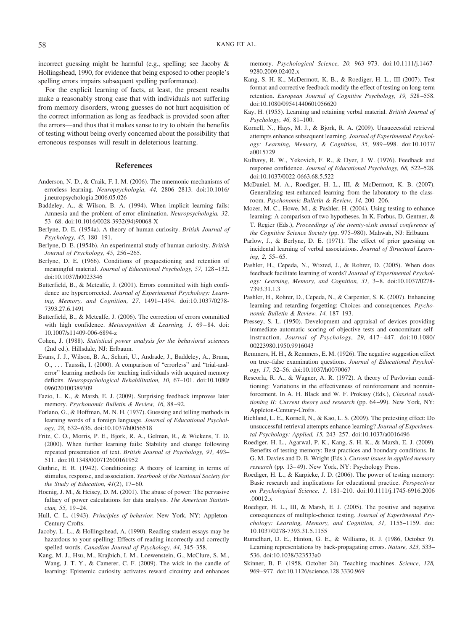incorrect guessing might be harmful (e.g., spelling; see Jacoby &

Hollingshead, 1990, for evidence that being exposed to other people's spelling errors impairs subsequent spelling performance).

For the explicit learning of facts, at least, the present results make a reasonably strong case that with individuals not suffering from memory disorders, wrong guesses do not hurt acquisition of the correct information as long as feedback is provided soon after the errors—and thus that it makes sense to try to obtain the benefits of testing without being overly concerned about the possibility that erroneous responses will result in deleterious learning.

## **References**

- Anderson, N. D., & Craik, F. I. M. (2006). The mnemonic mechanisms of errorless learning. *Neuropsychologia, 44,* 2806 –2813. doi:10.1016/ j.neuropsychologia.2006.05.026
- Baddeley, A., & Wilson, B. A. (1994). When implicit learning fails: Amnesia and the problem of error elimination. *Neuropsychologia, 32,* 53– 68. doi:10.1016/0028-3932(94)90068-X
- Berlyne, D. E. (1954a). A theory of human curiosity. *British Journal of Psychology, 45,* 180 –191.
- Berlyne, D. E. (1954b). An experimental study of human curiosity. *British Journal of Psychology, 45,* 256 –265.
- Berlyne, D. E. (1966). Conditions of prequestioning and retention of meaningful material. *Journal of Educational Psychology, 57,* 128 –132. doi:10.1037/h0023346
- Butterfield, B., & Metcalfe, J. (2001). Errors committed with high confidence are hypercorrected. *Journal of Experimental Psychology: Learning, Memory, and Cognition, 27,* 1491–1494. doi:10.1037/0278- 7393.27.6.1491
- Butterfield, B., & Metcalfe, J. (2006). The correction of errors committed with high confidence. *Metacognition & Learning*, 1, 69-84. doi: 10.1007/s11409-006-6894-z
- Cohen, J. (1988). *Statistical power analysis for the behavioral sciences* (2nd ed.). Hillsdale, NJ: Erlbaum.
- Evans, J. J., Wilson, B. A., Schuri, U., Andrade, J., Baddeley, A., Bruna, O., . . . Taussik, I. (2000). A comparison of "errorless" and "trial-anderror" learning methods for teaching individuals with acquired memory deficits. *Neuropsychological Rehabilitation, 10,* 67–101. doi:10.1080/ 096020100389309
- Fazio, L. K., & Marsh, E. J. (2009). Surprising feedback improves later memory. *Psychonomic Bulletin & Review, 16,* 88 –92.
- Forlano, G., & Hoffman, M. N. H. (1937). Guessing and telling methods in learning words of a foreign language. *Journal of Educational Psychology, 28,* 632– 636. doi:10.1037/h0056518
- Fritz, C. O., Morris, P. E., Bjork, R. A., Gelman, R., & Wickens, T. D. (2000). When further learning fails: Stability and change following repeated presentation of text. *British Journal of Psychology, 91,* 493– 511. doi:10.1348/000712600161952
- Guthrie, E. R. (1942). Conditioning: A theory of learning in terms of stimulus, response, and association. *Yearbook of the National Society for the Study of Education, 41*(2), 17– 60.
- Hoenig, J. M., & Heisey, D. M. (2001). The abuse of power: The pervasive fallacy of power calculations for data analysis. *The American Statistician, 55,* 19 –24.
- Hull, C. L. (1943). *Principles of behavior.* New York, NY: Appleton-Century-Crofts.
- Jacoby, L. L., & Hollingshead, A. (1990). Reading student essays may be hazardous to your spelling: Effects of reading incorrectly and correctly spelled words. *Canadian Journal of Psychology, 44,* 345–358.
- Kang, M. J., Hsu, M., Krajbich, I. M., Loewenstein, G., McClure, S. M., Wang, J. T. Y., & Camerer, C. F. (2009). The wick in the candle of learning: Epistemic curiosity activates reward circuitry and enhances

memory. *Psychological Science, 20,* 963–973. doi:10.1111/j.1467- 9280.2009.02402.x

- Kang, S. H. K., McDermott, K. B., & Roediger, H. L., III (2007). Test format and corrective feedback modify the effect of testing on long-term retention. *European Journal of Cognitive Psychology, 19,* 528 –558. doi:10.1080/09541440601056620
- Kay, H. (1955). Learning and retaining verbal material. *British Journal of Psychology, 46,* 81–100.
- Kornell, N., Hays, M. J., & Bjork, R. A. (2009). Unsuccessful retrieval attempts enhance subsequent learning. *Journal of Experimental Psychology: Learning, Memory, & Cognition, 35,* 989 –998. doi:10.1037/ a0015729
- Kulhavy, R. W., Yekovich, F. R., & Dyer, J. W. (1976). Feedback and response confidence. *Journal of Educational Psychology, 68,* 522–528. doi:10.1037/0022-0663.68.5.522
- McDaniel, M. A., Roediger, H. L., III, & McDermott, K. B. (2007). Generalizing test-enhanced learning from the laboratory to the classroom. *Psychonomic Bulletin & Review, 14,* 200 –206.
- Mozer, M. C., Howe, M., & Pashler, H. (2004). Using testing to enhance learning: A comparison of two hypotheses. In K. Forbus, D. Gentner, & T. Regier (Eds.), *Proceedings of the twenty-sixth annual conference of the Cognitive Science Society* (pp. 975–980). Mahwah, NJ: Erlbaum.
- Parlow, J., & Berlyne, D. E. (1971). The effect of prior guessing on incidental learning of verbal associations. *Journal of Structural Learning, 2,* 55– 65.
- Pashler, H., Cepeda, N., Wixted, J., & Rohrer, D. (2005). When does feedback facilitate learning of words? *Journal of Experimental Psychology: Learning, Memory, and Cognition, 31,* 3– 8. doi:10.1037/0278- 7393.31.1.3
- Pashler, H., Rohrer, D., Cepeda, N., & Carpenter, S. K. (2007). Enhancing learning and retarding forgetting: Choices and consequences. *Psychonomic Bulletin & Review, 14,* 187–193.
- Pressey, S. L. (1950). Development and appraisal of devices providing immediate automatic scoring of objective tests and concomitant selfinstruction. *Journal of Psychology, 29,* 417– 447. doi:10.1080/ 00223980.1950.9916043
- Remmers, H. H., & Remmers, E. M. (1926). The negative suggestion effect on true–false examination questions. *Journal of Educational Psychology, 17,* 52–56. doi:10.1037/h0070067
- Rescorla, R. A., & Wagner, A. R. (1972). A theory of Pavlovian conditioning: Variations in the effectiveness of reinforcement and nonreinforcement. In A. H. Black and W. F. Prokasy (Eds.), *Classical conditioning II: Current theory and research* (pp. 64 –99). New York, NY: Appleton-Century-Crofts.
- Richland, L. E., Kornell, N., & Kao, L. S. (2009). The pretesting effect: Do unsuccessful retrieval attempts enhance learning? *Journal of Experimental Psychology: Applied, 15,* 243–257. doi:10.1037/a0016496
- Roediger, H. L., Agarwal, P. K., Kang, S. H. K., & Marsh, E. J. (2009). Benefits of testing memory: Best practices and boundary conditions. In G. M. Davies and D. B. Wright (Eds.), *Current issues in applied memory* research (pp. 13-49). New York, NY: Psychology Press.
- Roediger, H. L., & Karpicke, J. D. (2006). The power of testing memory: Basic research and implications for educational practice. *Perspectives on Psychological Science, 1,* 181–210. doi:10.1111/j.1745-6916.2006 .00012.x
- Roediger, H. L., III, & Marsh, E. J. (2005). The positive and negative consequences of multiple-choice testing. *Journal of Experimental Psychology: Learning, Memory, and Cognition, 31,* 1155–1159. doi: 10.1037/0278-7393.31.5.1155
- Rumelhart, D. E., Hinton, G. E., & Williams, R. J. (1986, October 9). Learning representations by back-propagating errors. *Nature, 323,* 533– 536. doi:10.1038/323533a0
- Skinner, B. F. (1958, October 24). Teaching machines. *Science, 128,* 969 –977. doi:10.1126/science.128.3330.969